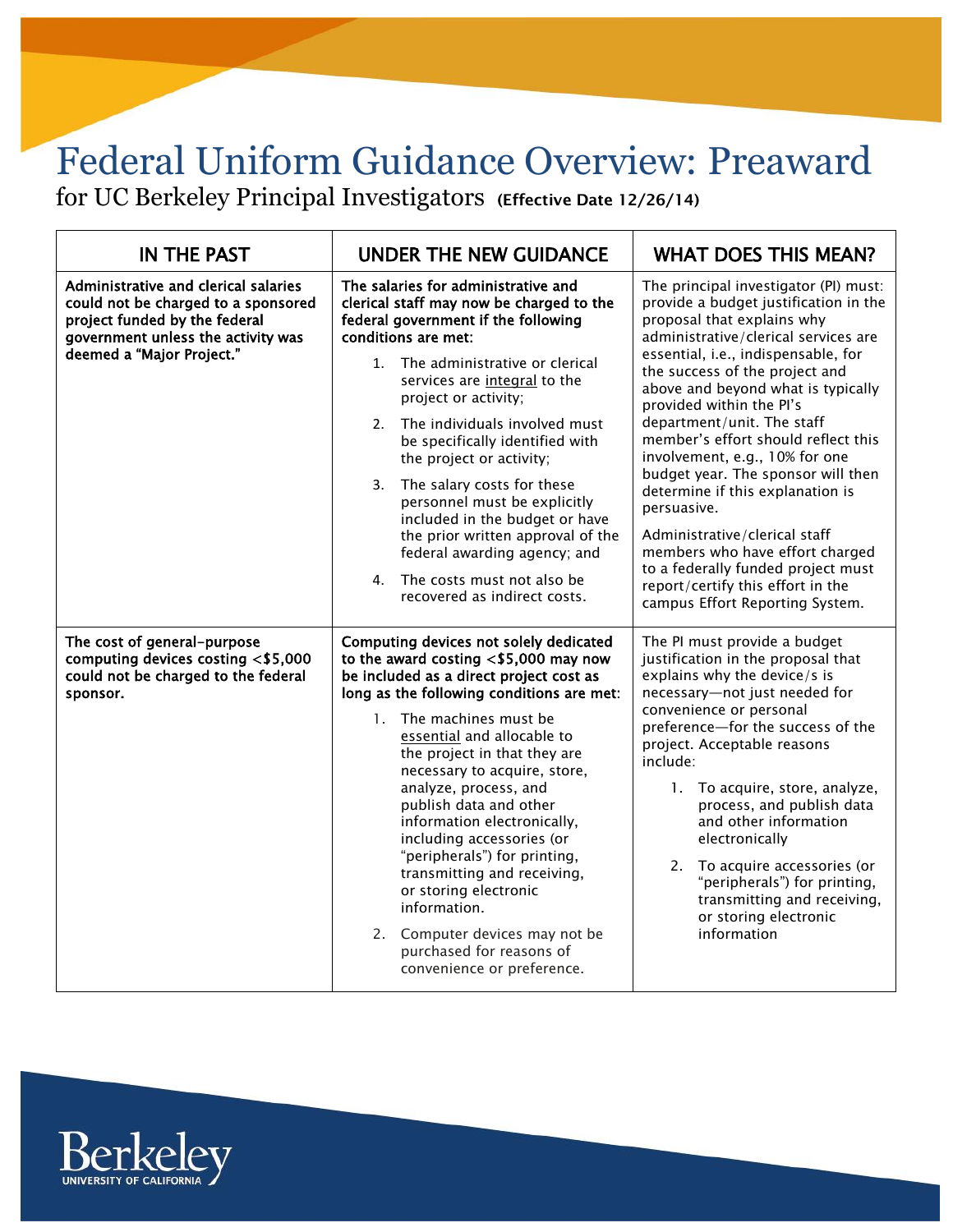## Federal Uniform Guidance Overview: Preaward

**Federal Uniform Guidance Overview: Preaward Page 1 June 2015**

for UC Berkeley Principal Investigators **(Effective Date 12/26/14)**

| <b>IN THE PAST</b>                                                                                                                                                              | <b>UNDER THE NEW GUIDANCE</b>                                                                                                                                                                                                                                                                                                                                                                                                                                                                                                                                                                                          | <b>WHAT DOES THIS MEAN?</b>                                                                                                                                                                                                                                                                                                                                                                                                                                                                                                                                                                                                                                                       |
|---------------------------------------------------------------------------------------------------------------------------------------------------------------------------------|------------------------------------------------------------------------------------------------------------------------------------------------------------------------------------------------------------------------------------------------------------------------------------------------------------------------------------------------------------------------------------------------------------------------------------------------------------------------------------------------------------------------------------------------------------------------------------------------------------------------|-----------------------------------------------------------------------------------------------------------------------------------------------------------------------------------------------------------------------------------------------------------------------------------------------------------------------------------------------------------------------------------------------------------------------------------------------------------------------------------------------------------------------------------------------------------------------------------------------------------------------------------------------------------------------------------|
| Administrative and clerical salaries<br>could not be charged to a sponsored<br>project funded by the federal<br>government unless the activity was<br>deemed a "Major Project." | The salaries for administrative and<br>clerical staff may now be charged to the<br>federal government if the following<br>conditions are met:<br>The administrative or clerical<br>$1 \quad$<br>services are integral to the<br>project or activity;<br>2. The individuals involved must<br>be specifically identified with<br>the project or activity;<br>3.<br>The salary costs for these<br>personnel must be explicitly<br>included in the budget or have<br>the prior written approval of the<br>federal awarding agency; and<br>The costs must not also be<br>4.<br>recovered as indirect costs.                 | The principal investigator (PI) must:<br>provide a budget justification in the<br>proposal that explains why<br>administrative/clerical services are<br>essential, i.e., indispensable, for<br>the success of the project and<br>above and beyond what is typically<br>provided within the Pl's<br>department/unit. The staff<br>member's effort should reflect this<br>involvement, e.g., 10% for one<br>budget year. The sponsor will then<br>determine if this explanation is<br>persuasive.<br>Administrative/clerical staff<br>members who have effort charged<br>to a federally funded project must<br>report/certify this effort in the<br>campus Effort Reporting System. |
| The cost of general-purpose<br>computing devices costing <\$5,000<br>could not be charged to the federal<br>sponsor.                                                            | Computing devices not solely dedicated<br>to the award costing $<$ \$5,000 may now<br>be included as a direct project cost as<br>long as the following conditions are met:<br>1. The machines must be<br>essential and allocable to<br>the project in that they are<br>necessary to acquire, store,<br>analyze, process, and<br>publish data and other<br>information electronically,<br>including accessories (or<br>"peripherals") for printing,<br>transmitting and receiving,<br>or storing electronic<br>information.<br>2. Computer devices may not be<br>purchased for reasons of<br>convenience or preference. | The PI must provide a budget<br>justification in the proposal that<br>explains why the device/s is<br>necessary-not just needed for<br>convenience or personal<br>preference-for the success of the<br>project. Acceptable reasons<br>include:<br>1. To acquire, store, analyze,<br>process, and publish data<br>and other information<br>electronically<br>2. To acquire accessories (or<br>"peripherals") for printing,<br>transmitting and receiving,<br>or storing electronic<br>information                                                                                                                                                                                  |

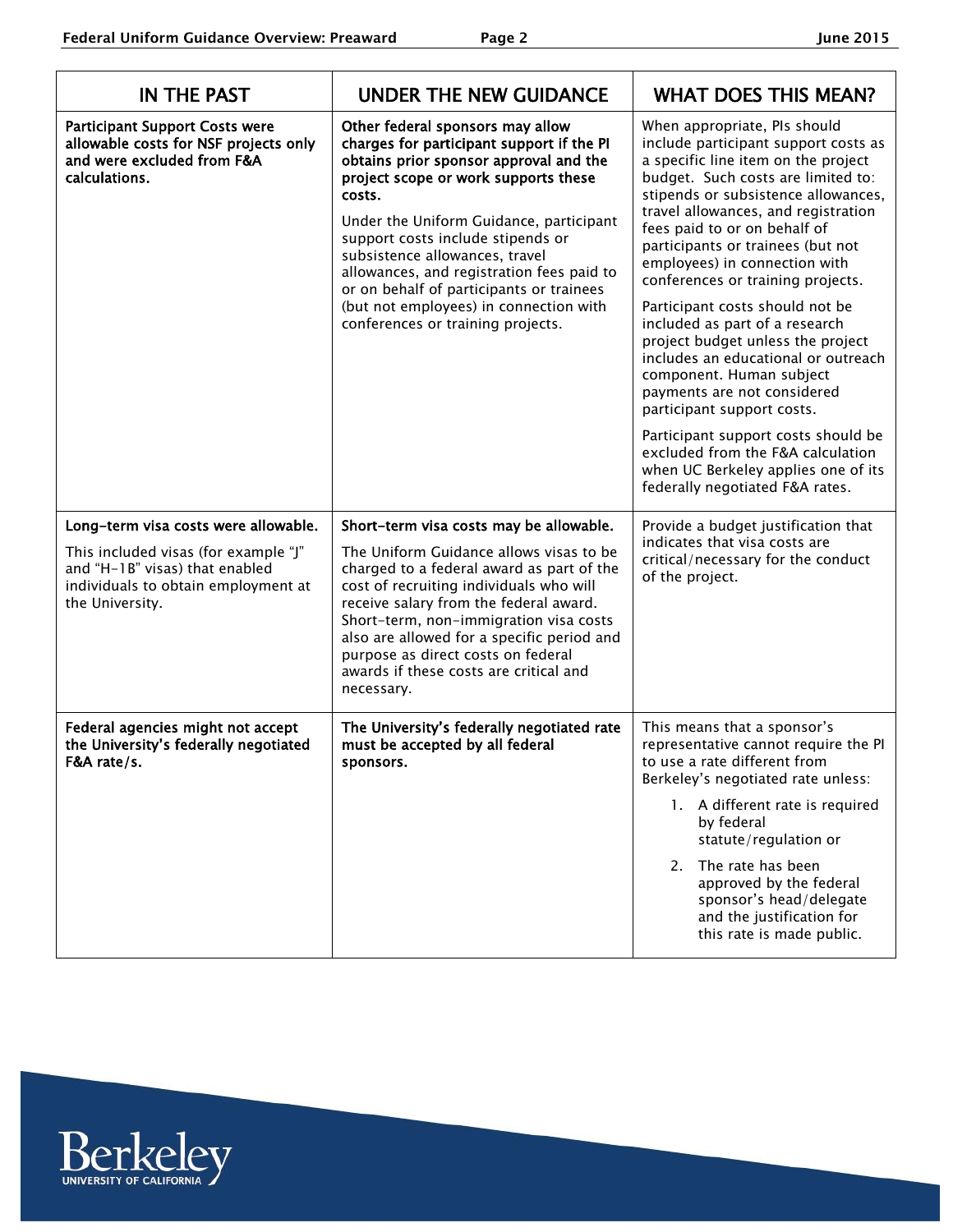| <b>IN THE PAST</b>                                                                                                                                                       | <b>UNDER THE NEW GUIDANCE</b>                                                                                                                                                                                                                                                                                                                                                                                                                                       | <b>WHAT DOES THIS MEAN?</b>                                                                                                                                                                                                                                                                                                                                                                                                                                                                                                                                                                                                                                                                                                                                                |
|--------------------------------------------------------------------------------------------------------------------------------------------------------------------------|---------------------------------------------------------------------------------------------------------------------------------------------------------------------------------------------------------------------------------------------------------------------------------------------------------------------------------------------------------------------------------------------------------------------------------------------------------------------|----------------------------------------------------------------------------------------------------------------------------------------------------------------------------------------------------------------------------------------------------------------------------------------------------------------------------------------------------------------------------------------------------------------------------------------------------------------------------------------------------------------------------------------------------------------------------------------------------------------------------------------------------------------------------------------------------------------------------------------------------------------------------|
| <b>Participant Support Costs were</b><br>allowable costs for NSF projects only<br>and were excluded from F&A<br>calculations.                                            | Other federal sponsors may allow<br>charges for participant support if the PI<br>obtains prior sponsor approval and the<br>project scope or work supports these<br>costs.<br>Under the Uniform Guidance, participant<br>support costs include stipends or<br>subsistence allowances, travel<br>allowances, and registration fees paid to<br>or on behalf of participants or trainees<br>(but not employees) in connection with<br>conferences or training projects. | When appropriate, PIs should<br>include participant support costs as<br>a specific line item on the project<br>budget. Such costs are limited to:<br>stipends or subsistence allowances,<br>travel allowances, and registration<br>fees paid to or on behalf of<br>participants or trainees (but not<br>employees) in connection with<br>conferences or training projects.<br>Participant costs should not be<br>included as part of a research<br>project budget unless the project<br>includes an educational or outreach<br>component. Human subject<br>payments are not considered<br>participant support costs.<br>Participant support costs should be<br>excluded from the F&A calculation<br>when UC Berkeley applies one of its<br>federally negotiated F&A rates. |
| Long-term visa costs were allowable.<br>This included visas (for example "J"<br>and "H-1B" visas) that enabled<br>individuals to obtain employment at<br>the University. | Short-term visa costs may be allowable.<br>The Uniform Guidance allows visas to be<br>charged to a federal award as part of the<br>cost of recruiting individuals who will<br>receive salary from the federal award.<br>Short-term, non-immigration visa costs<br>also are allowed for a specific period and<br>purpose as direct costs on federal<br>awards if these costs are critical and<br>necessary.                                                          | Provide a budget justification that<br>indicates that visa costs are<br>critical/necessary for the conduct<br>of the project.                                                                                                                                                                                                                                                                                                                                                                                                                                                                                                                                                                                                                                              |
| Federal agencies might not accept<br>the University's federally negotiated<br>F&A rate/s.                                                                                | The University's federally negotiated rate<br>must be accepted by all federal<br>sponsors.                                                                                                                                                                                                                                                                                                                                                                          | This means that a sponsor's<br>representative cannot require the PI<br>to use a rate different from<br>Berkeley's negotiated rate unless:<br>1. A different rate is required<br>by federal<br>statute/regulation or<br>2. The rate has been<br>approved by the federal<br>sponsor's head/delegate<br>and the justification for<br>this rate is made public.                                                                                                                                                                                                                                                                                                                                                                                                                |